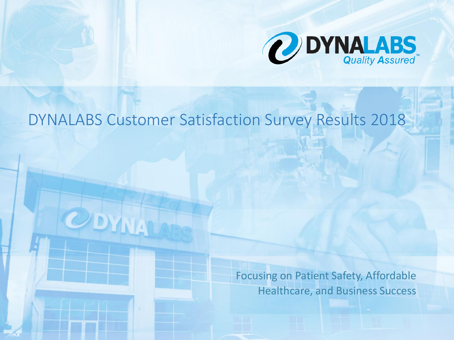

# DYNALABS Customer Satisfaction Survey Results 2018

DYNALABS LLC is registered with the U.S. Food and Drug Administration (FDA), the DEA and Bureau of Narcotics and Dangerous Drugs, as well as ISO 17025 and services products and services provided by DYNALABS are protected. The protected by DYNA

© 2018 DYNALABS LLC. All Rights Reserved. For additional information about DYNALABS please call 888-396-2522.

Focusing on Patient Safety, Affordable Healthcare, and Business Success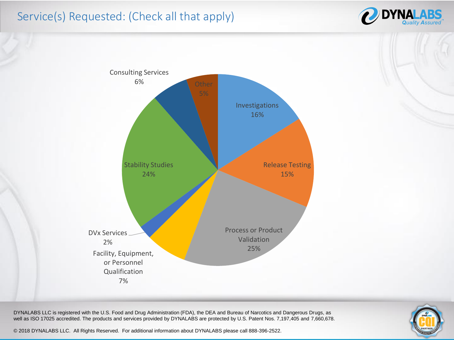## Service(s) Requested: (Check all that apply)





DYNALABS LLC is registered with the U.S. Food and Drug Administration (FDA), the DEA and Bureau of Narcotics and Dangerous Drugs, as well as ISO 17025 accredited. The products and services provided by DYNALABS are protected by U.S. Patent Nos. 7,197,405 and 7,660,678.

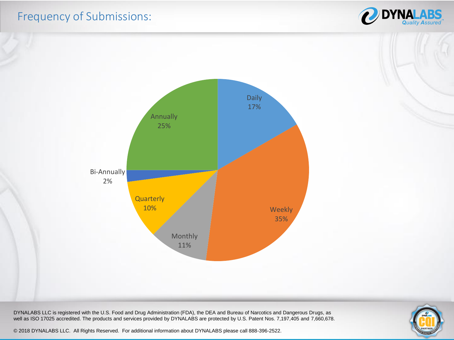#### Frequency of Submissions:





DYNALABS LLC is registered with the U.S. Food and Drug Administration (FDA), the DEA and Bureau of Narcotics and Dangerous Drugs, as well as ISO 17025 accredited. The products and services provided by DYNALABS are protected by U.S. Patent Nos. 7,197,405 and 7,660,678.

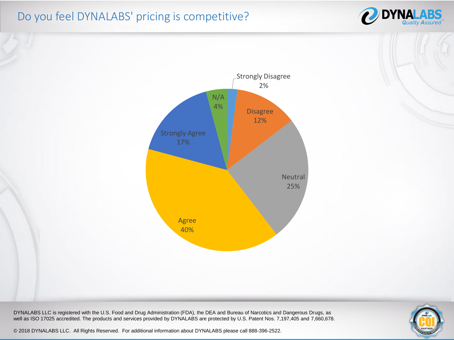## Do you feel DYNALABS' pricing is competitive?





DYNALABS LLC is registered with the U.S. Food and Drug Administration (FDA), the DEA and Bureau of Narcotics and Dangerous Drugs, as well as ISO 17025 accredited. The products and services provided by DYNALABS are protected by U.S. Patent Nos. 7,197,405 and 7,660,678.

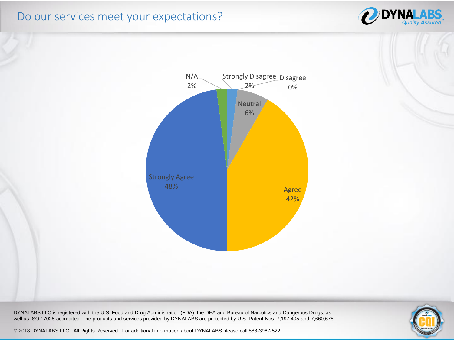#### Do our services meet your expectations?





DYNALABS LLC is registered with the U.S. Food and Drug Administration (FDA), the DEA and Bureau of Narcotics and Dangerous Drugs, as well as ISO 17025 accredited. The products and services provided by DYNALABS are protected by U.S. Patent Nos. 7,197,405 and 7,660,678.

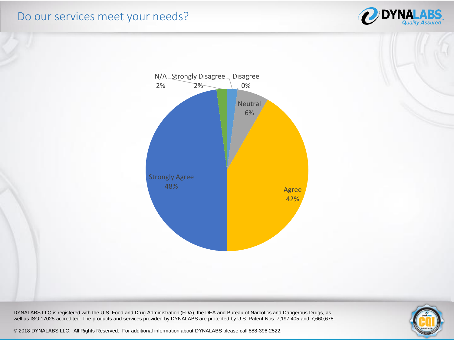#### Do our services meet your needs?





DYNALABS LLC is registered with the U.S. Food and Drug Administration (FDA), the DEA and Bureau of Narcotics and Dangerous Drugs, as well as ISO 17025 accredited. The products and services provided by DYNALABS are protected by U.S. Patent Nos. 7,197,405 and 7,660,678.

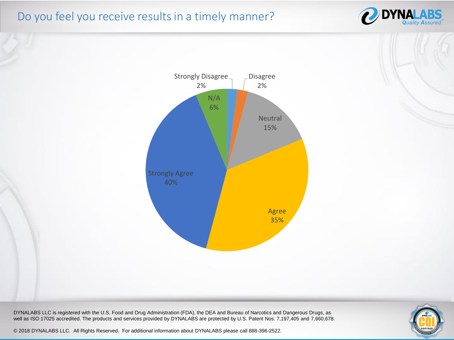# Do you feel you receive results in a timely manner?





DYNALABS LLC is registered with the U.S. Food and Drug Administration (FDA), the DEA and Bureau of Narcotics and Dangerous Drugs, as well as ISO 17025 accredited. The products and services provided by DYNALABS are protected by U.S. Patent Nos. 7,197,405 and 7,660,678.

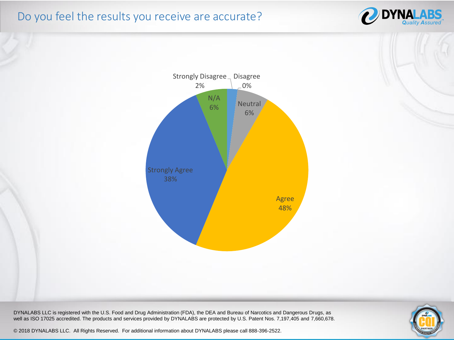## Do you feel the results you receive are accurate?





DYNALABS LLC is registered with the U.S. Food and Drug Administration (FDA), the DEA and Bureau of Narcotics and Dangerous Drugs, as well as ISO 17025 accredited. The products and services provided by DYNALABS are protected by U.S. Patent Nos. 7,197,405 and 7,660,678.

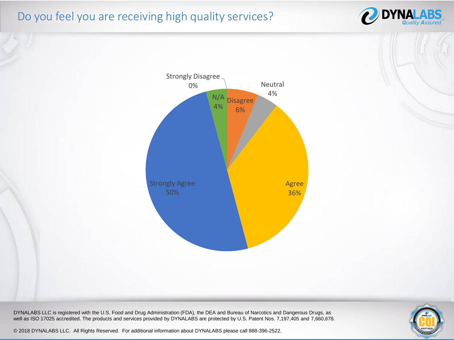## Do you feel you are receiving high quality services?





DYNALABS LLC is registered with the U.S. Food and Drug Administration (FDA), the DEA and Bureau of Narcotics and Dangerous Drugs, as well as ISO 17025 accredited. The products and services provided by DYNALABS are protected by U.S. Patent Nos. 7,197,405 and 7,660,678.

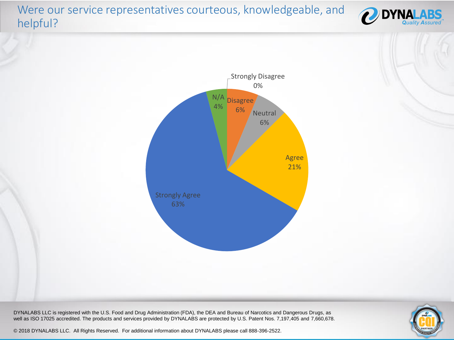# Were our service representatives courteous, knowledgeable, and helpful?



DYNALABS LLC is registered with the U.S. Food and Drug Administration (FDA), the DEA and Bureau of Narcotics and Dangerous Drugs, as well as ISO 17025 accredited. The products and services provided by DYNALABS are protected by U.S. Patent Nos. 7,197,405 and 7,660,678.



**DYNAI**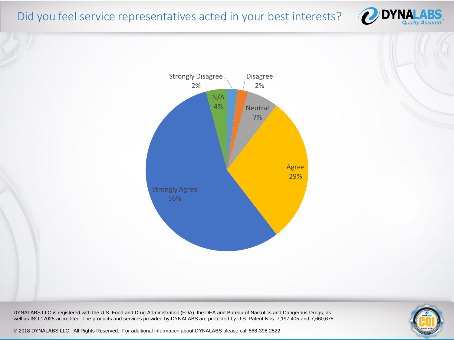#### Did you feel service representatives acted in your best interests?





DYNALABS LLC is registered with the U.S. Food and Drug Administration (FDA), the DEA and Bureau of Narcotics and Dangerous Drugs, as well as ISO 17025 accredited. The products and services provided by DYNALABS are protected by U.S. Patent Nos. 7,197,405 and 7,660,678.

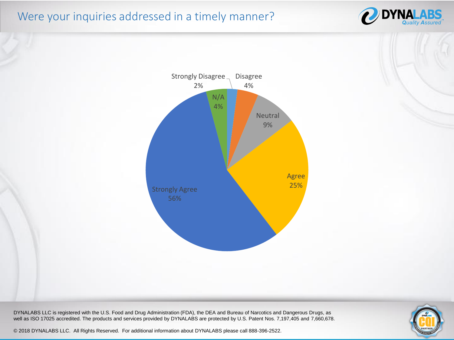# Were your inquiries addressed in a timely manner?





DYNALABS LLC is registered with the U.S. Food and Drug Administration (FDA), the DEA and Bureau of Narcotics and Dangerous Drugs, as well as ISO 17025 accredited. The products and services provided by DYNALABS are protected by U.S. Patent Nos. 7,197,405 and 7,660,678.

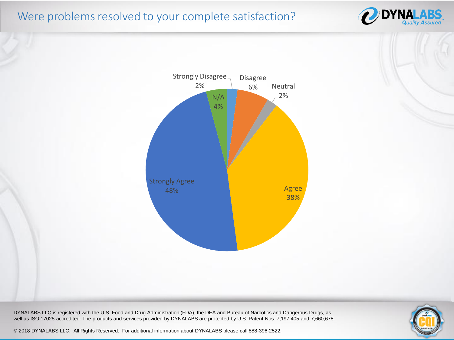## Were problems resolved to your complete satisfaction?





DYNALABS LLC is registered with the U.S. Food and Drug Administration (FDA), the DEA and Bureau of Narcotics and Dangerous Drugs, as well as ISO 17025 accredited. The products and services provided by DYNALABS are protected by U.S. Patent Nos. 7,197,405 and 7,660,678.

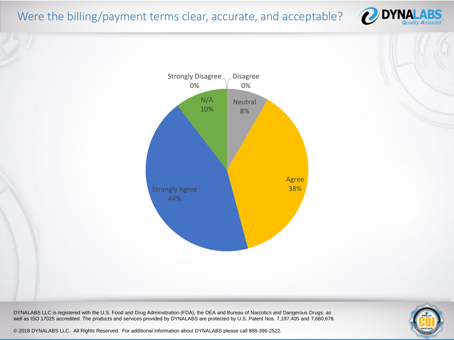## Were the billing/payment terms clear, accurate, and acceptable?





DYNALABS LLC is registered with the U.S. Food and Drug Administration (FDA), the DEA and Bureau of Narcotics and Dangerous Drugs, as well as ISO 17025 accredited. The products and services provided by DYNALABS are protected by U.S. Patent Nos. 7,197,405 and 7,660,678.

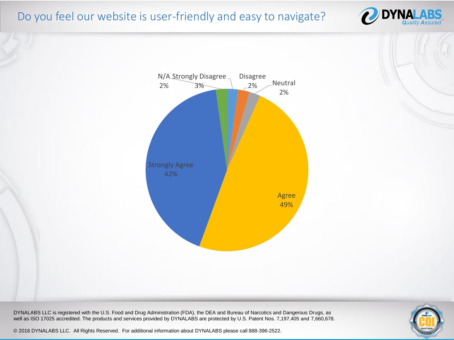#### Do you feel our website is user-friendly and easy to navigate?





DYNALABS LLC is registered with the U.S. Food and Drug Administration (FDA), the DEA and Bureau of Narcotics and Dangerous Drugs, as well as ISO 17025 accredited. The products and services provided by DYNALABS are protected by U.S. Patent Nos. 7,197,405 and 7,660,678.

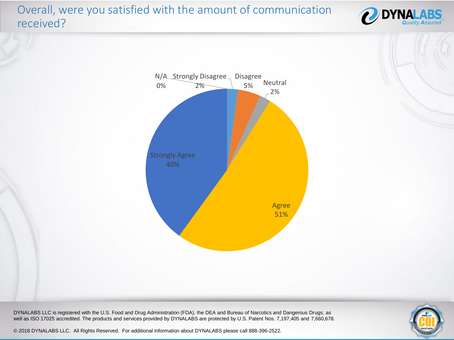# Overall, were you satisfied with the amount of communication received?





DYNALABS LLC is registered with the U.S. Food and Drug Administration (FDA), the DEA and Bureau of Narcotics and Dangerous Drugs, as well as ISO 17025 accredited. The products and services provided by DYNALABS are protected by U.S. Patent Nos. 7,197,405 and 7,660,678.

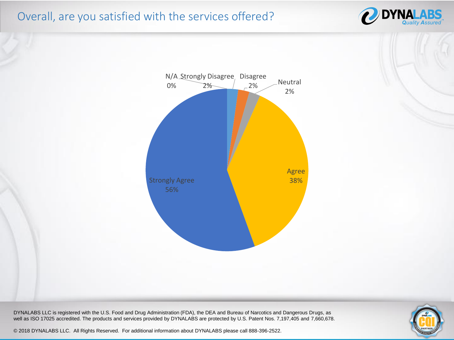## Overall, are you satisfied with the services offered?





DYNALABS LLC is registered with the U.S. Food and Drug Administration (FDA), the DEA and Bureau of Narcotics and Dangerous Drugs, as well as ISO 17025 accredited. The products and services provided by DYNALABS are protected by U.S. Patent Nos. 7,197,405 and 7,660,678.

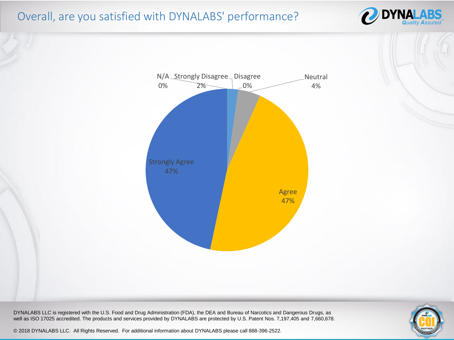# Overall, are you satisfied with DYNALABS' performance?





DYNALABS LLC is registered with the U.S. Food and Drug Administration (FDA), the DEA and Bureau of Narcotics and Dangerous Drugs, as well as ISO 17025 accredited. The products and services provided by DYNALABS are protected by U.S. Patent Nos. 7,197,405 and 7,660,678.

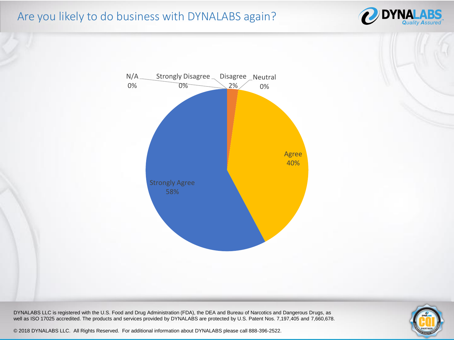#### Are you likely to do business with DYNALABS again?





DYNALABS LLC is registered with the U.S. Food and Drug Administration (FDA), the DEA and Bureau of Narcotics and Dangerous Drugs, as well as ISO 17025 accredited. The products and services provided by DYNALABS are protected by U.S. Patent Nos. 7,197,405 and 7,660,678.